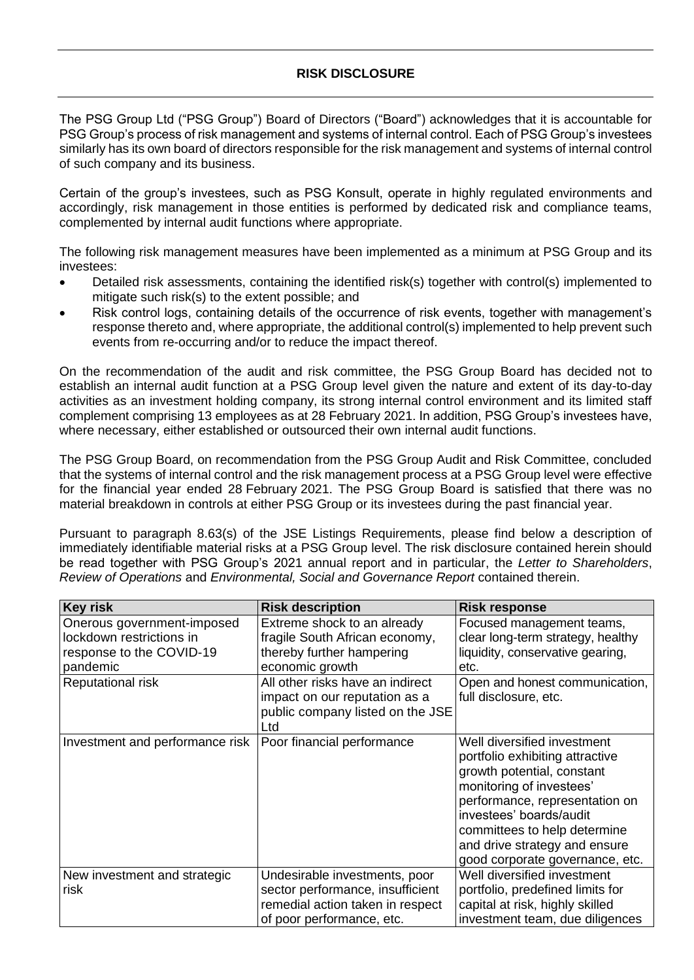## **RISK DISCLOSURE**

The PSG Group Ltd ("PSG Group") Board of Directors ("Board") acknowledges that it is accountable for PSG Group's process of risk management and systems of internal control. Each of PSG Group's investees similarly has its own board of directors responsible for the risk management and systems of internal control of such company and its business.

Certain of the group's investees, such as PSG Konsult, operate in highly regulated environments and accordingly, risk management in those entities is performed by dedicated risk and compliance teams, complemented by internal audit functions where appropriate.

The following risk management measures have been implemented as a minimum at PSG Group and its investees:

- Detailed risk assessments, containing the identified risk(s) together with control(s) implemented to mitigate such risk(s) to the extent possible; and
- Risk control logs, containing details of the occurrence of risk events, together with management's response thereto and, where appropriate, the additional control(s) implemented to help prevent such events from re-occurring and/or to reduce the impact thereof.

On the recommendation of the audit and risk committee, the PSG Group Board has decided not to establish an internal audit function at a PSG Group level given the nature and extent of its day-to-day activities as an investment holding company, its strong internal control environment and its limited staff complement comprising 13 employees as at 28 February 2021. In addition, PSG Group's investees have, where necessary, either established or outsourced their own internal audit functions.

The PSG Group Board, on recommendation from the PSG Group Audit and Risk Committee, concluded that the systems of internal control and the risk management process at a PSG Group level were effective for the financial year ended 28 February 2021. The PSG Group Board is satisfied that there was no material breakdown in controls at either PSG Group or its investees during the past financial year.

Pursuant to paragraph 8.63(s) of the JSE Listings Requirements, please find below a description of immediately identifiable material risks at a PSG Group level. The risk disclosure contained herein should be read together with PSG Group's 2021 annual report and in particular, the *Letter to Shareholders*, *Review of Operations* and *Environmental, Social and Governance Report* contained therein.

| <b>Key risk</b>                 | <b>Risk description</b>          | <b>Risk response</b>              |
|---------------------------------|----------------------------------|-----------------------------------|
| Onerous government-imposed      | Extreme shock to an already      | Focused management teams,         |
| lockdown restrictions in        | fragile South African economy,   | clear long-term strategy, healthy |
| response to the COVID-19        | thereby further hampering        | liquidity, conservative gearing,  |
| pandemic                        | economic growth                  | etc.                              |
| Reputational risk               | All other risks have an indirect | Open and honest communication,    |
|                                 | impact on our reputation as a    | full disclosure, etc.             |
|                                 | public company listed on the JSE |                                   |
|                                 | Ltd                              |                                   |
| Investment and performance risk | Poor financial performance       | Well diversified investment       |
|                                 |                                  | portfolio exhibiting attractive   |
|                                 |                                  | growth potential, constant        |
|                                 |                                  | monitoring of investees'          |
|                                 |                                  | performance, representation on    |
|                                 |                                  | investees' boards/audit           |
|                                 |                                  | committees to help determine      |
|                                 |                                  | and drive strategy and ensure     |
|                                 |                                  | good corporate governance, etc.   |
| New investment and strategic    | Undesirable investments, poor    | Well diversified investment       |
| risk                            | sector performance, insufficient | portfolio, predefined limits for  |
|                                 | remedial action taken in respect | capital at risk, highly skilled   |
|                                 | of poor performance, etc.        | investment team, due diligences   |